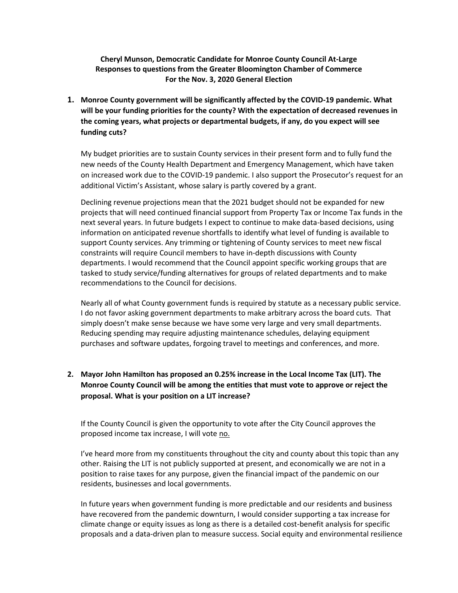**Cheryl Munson, Democratic Candidate for Monroe County Council At-Large Responses to questions from the Greater Bloomington Chamber of Commerce For the Nov. 3, 2020 General Election**

**1. Monroe County government will be significantly affected by the COVID-19 pandemic. What will be your funding priorities for the county? With the expectation of decreased revenues in the coming years, what projects or departmental budgets, if any, do you expect will see funding cuts?**

My budget priorities are to sustain County services in their present form and to fully fund the new needs of the County Health Department and Emergency Management, which have taken on increased work due to the COVID-19 pandemic. I also support the Prosecutor's request for an additional Victim's Assistant, whose salary is partly covered by a grant.

Declining revenue projections mean that the 2021 budget should not be expanded for new projects that will need continued financial support from Property Tax or Income Tax funds in the next several years. In future budgets I expect to continue to make data-based decisions, using information on anticipated revenue shortfalls to identify what level of funding is available to support County services. Any trimming or tightening of County services to meet new fiscal constraints will require Council members to have in-depth discussions with County departments. I would recommend that the Council appoint specific working groups that are tasked to study service/funding alternatives for groups of related departments and to make recommendations to the Council for decisions.

Nearly all of what County government funds is required by statute as a necessary public service. I do not favor asking government departments to make arbitrary across the board cuts. That simply doesn't make sense because we have some very large and very small departments. Reducing spending may require adjusting maintenance schedules, delaying equipment purchases and software updates, forgoing travel to meetings and conferences, and more.

## **2. Mayor John Hamilton has proposed an 0.25% increase in the Local Income Tax (LIT). The Monroe County Council will be among the entities that must vote to approve or reject the proposal. What is your position on a LIT increase?**

If the County Council is given the opportunity to vote after the City Council approves the proposed income tax increase, I will vote no.

I've heard more from my constituents throughout the city and county about this topic than any other. Raising the LIT is not publicly supported at present, and economically we are not in a position to raise taxes for any purpose, given the financial impact of the pandemic on our residents, businesses and local governments.

In future years when government funding is more predictable and our residents and business have recovered from the pandemic downturn, I would consider supporting a tax increase for climate change or equity issues as long as there is a detailed cost-benefit analysis for specific proposals and a data-driven plan to measure success. Social equity and environmental resilience